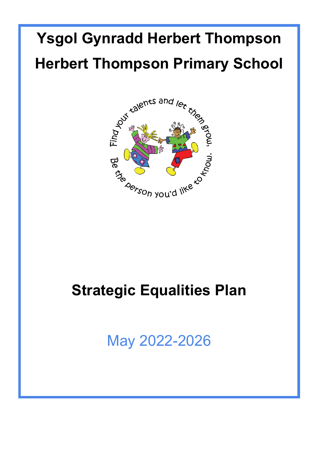# **Ysgol Gynradd Herbert Thompson Herbert Thompson Primary School**



# **Strategic Equalities Plan**

May 2022-2026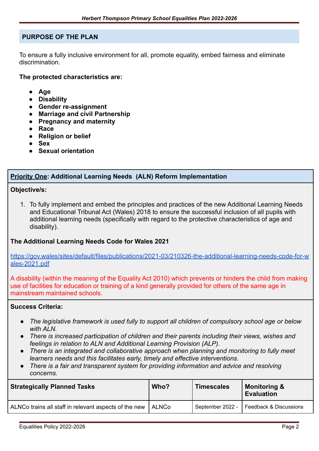#### **PURPOSE OF THE PLAN**

To ensure a fully inclusive environment for all, promote equality, embed fairness and eliminate discrimination.

**The protected characteristics are:**

- **● Age**
- **● Disability**
- **● Gender re-assignment**
- **● Marriage and civil Partnership**
- **● Pregnancy and maternity**
- **● Race**
- **● Religion or belief**
- **● Sex**
- **● Sexual orientation**

#### **Priority One: Additional Learning Needs (ALN) Reform Implementation**

#### **Objective/s:**

1. To fully implement and embed the principles and practices of the new Additional Learning Needs and Educational Tribunal Act (Wales) 2018 to ensure the successful inclusion of all pupils with additional learning needs (specifically with regard to the protective characteristics of age and disability).

#### **The Additional Learning Needs Code for Wales 2021**

[https://gov.wales/sites/default/files/publications/2021-03/210326-the-additional-learning-needs-code-for-w](https://gov.wales/sites/default/files/publications/2021-03/210326-the-additional-learning-needs-code-for-wales-2021.pdf) [ales-2021.pdf](https://gov.wales/sites/default/files/publications/2021-03/210326-the-additional-learning-needs-code-for-wales-2021.pdf)

A disability (within the meaning of the Equality Act 2010) which prevents or hinders the child from making use of facilities for education or training of a kind generally provided for others of the same age in mainstream maintained schools.

#### **Success Criteria:**

- *● The legislative framework is used fully to support all children of compulsory school age or below with ALN.*
- *● There is increased participation of children and their parents including their views, wishes and feelings in relation to ALN and Additional Learning Provision (ALP).*
- *● There is an integrated and collaborative approach when planning and monitoring to fully meet learners needs and this facilitates early, timely and effective interventions.*
- *● There is a fair and transparent system for providing information and advice and resolving concerns.*

| <b>Strategically Planned Tasks</b>                    | Who?    | <b>Timescales</b> | <b>Monitoring &amp;</b><br><b>Evaluation</b> |
|-------------------------------------------------------|---------|-------------------|----------------------------------------------|
| ALNCo trains all staff in relevant aspects of the new | l ALNCo |                   | September 2022 -   Feedback & Discussions    |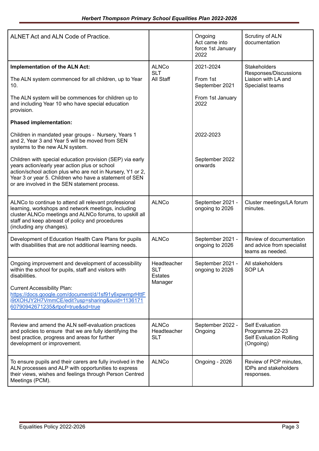| ALNET Act and ALN Code of Practice.                                                                                                                                                                                                                                                                                 |                                                 | Ongoing<br>Act came into<br>force 1st January<br>2022 | Scrutiny of ALN<br>documentation                                                         |
|---------------------------------------------------------------------------------------------------------------------------------------------------------------------------------------------------------------------------------------------------------------------------------------------------------------------|-------------------------------------------------|-------------------------------------------------------|------------------------------------------------------------------------------------------|
| Implementation of the ALN Act:                                                                                                                                                                                                                                                                                      | <b>ALNCo</b>                                    | 2021-2024                                             | <b>Stakeholders</b>                                                                      |
| The ALN system commenced for all children, up to Year<br>10.                                                                                                                                                                                                                                                        | <b>SLT</b><br>All Staff                         | From 1st<br>September 2021                            | Responses/Discussions<br>Liaison with LA and<br>Specialist teams                         |
| The ALN system will be commences for children up to<br>and including Year 10 who have special education<br>provision.                                                                                                                                                                                               |                                                 | From 1st January<br>2022                              |                                                                                          |
| <b>Phased implementation:</b>                                                                                                                                                                                                                                                                                       |                                                 |                                                       |                                                                                          |
| Children in mandated year groups - Nursery, Years 1<br>and 2, Year 3 and Year 5 will be moved from SEN<br>systems to the new ALN system.                                                                                                                                                                            |                                                 | 2022-2023                                             |                                                                                          |
| Children with special education provision (SEP) via early<br>years action/early year action plus or school<br>action/school action plus who are not in Nursery, Y1 or 2,<br>Year 3 or year 5. Children who have a statement of SEN<br>or are involved in the SEN statement process.                                 |                                                 | September 2022<br>onwards                             |                                                                                          |
| ALNCo to continue to attend all relevant professional<br>learning, workshops and network meetings, including<br>cluster ALNCo meetings and ALNCo forums, to upskill all<br>staff and keep abreast of policy and procedures<br>(including any changes).                                                              | <b>ALNCo</b>                                    | September 2021 -<br>ongoing to 2026                   | Cluster meetings/LA forum<br>minutes.                                                    |
| Development of Education Health Care Plans for pupils<br>with disabilities that are not additional learning needs.                                                                                                                                                                                                  | <b>ALNCo</b>                                    | September 2021 -<br>ongoing to 2026                   | Review of documentation<br>and advice from specialist<br>teams as needed.                |
| Ongoing improvement and development of accessibility<br>within the school for pupils, staff and visitors with<br>disabilities.<br><b>Current Accessibility Plan:</b><br>https://docs.google.com/document/d/1sf91y6xpwmprHttF<br>i9tXOHJY2H7VmmCE/edit?usp=sharing&ouid=1136171<br>60790942671235&rtpof=true&sd=true | Headteacher<br><b>SLT</b><br>Estates<br>Manager | September 2021 -<br>ongoing to 2026                   | All stakeholders<br>SOP LA                                                               |
| Review and amend the ALN self-evaluation practices<br>and policies to ensure that we are fully identifying the<br>best practice, progress and areas for further<br>development or improvement.                                                                                                                      | <b>ALNCo</b><br>Headteacher<br><b>SLT</b>       | September 2022 -<br>Ongoing                           | <b>Self Evaluation</b><br>Programme 22-23<br><b>Self Evaluation Rolling</b><br>(Ongoing) |
| To ensure pupils and their carers are fully involved in the<br>ALN processes and ALP with opportunities to express<br>their views, wishes and feelings through Person Centred<br>Meetings (PCM).                                                                                                                    | <b>ALNCo</b>                                    | Ongoing - 2026                                        | Review of PCP minutes,<br><b>IDPs and stakeholders</b><br>responses.                     |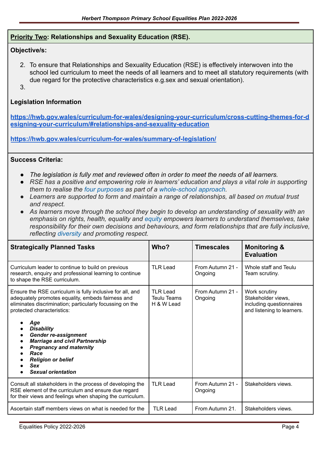#### **Priority Two: Relationships and Sexuality Education (RSE).**

#### **Objective/s:**

- 2. To ensure that Relationships and Sexuality Education (RSE) is effectively interwoven into the school led curriculum to meet the needs of all learners and to meet all statutory requirements (with due regard for the protective characteristics e.g.sex and sexual orientation).
- 3.

#### **Legislation Information**

**[https://hwb.gov.wales/curriculum-for-wales/designing-your-curriculum/cross-cutting-themes-for-d](https://hwb.gov.wales/curriculum-for-wales/designing-your-curriculum/cross-cutting-themes-for-designing-your-curriculum/#relationships-and-sexuality-education) [esigning-your-curriculum/#relationships-and-sexuality-education](https://hwb.gov.wales/curriculum-for-wales/designing-your-curriculum/cross-cutting-themes-for-designing-your-curriculum/#relationships-and-sexuality-education)**

**<https://hwb.gov.wales/curriculum-for-wales/summary-of-legislation/>**

#### **Success Criteria:**

- *● The legislation is fully met and reviewed often in order to meet the needs of all learners.*
- *● RSE has a positive and empowering role in learners' education and plays a vital role in supporting them to realise the [four purposes](https://hwb.gov.wales/curriculum-for-wales/designing-your-curriculum/developing-a-vision-for-curriculum-design/#curriculum-design-and-the-four-purposes) as part of a whole-school approach.*
- *● Learners are supported to form and maintain a range of relationships, all based on mutual trust and respect.*
- *● As learners move through the school they begin to develop an understanding of sexuality with an emphasis on rights, health, equality and equity empowers learners to understand themselves, take responsibility for their own decisions and behaviours, and form relationships that are fully inclusive, reflecting [diversity](https://hwb.gov.wales/curriculum-for-wales/designing-your-curriculum/cross-cutting-themes-for-designing-your-curriculum/#diversity) and promoting respect.*

| <b>Strategically Planned Tasks</b>                                                                                                                                                                                                                                                                                                                                                                                                                                                              | Who?                                         | <b>Timescales</b>           | <b>Monitoring &amp;</b><br><b>Evaluation</b>                                                  |
|-------------------------------------------------------------------------------------------------------------------------------------------------------------------------------------------------------------------------------------------------------------------------------------------------------------------------------------------------------------------------------------------------------------------------------------------------------------------------------------------------|----------------------------------------------|-----------------------------|-----------------------------------------------------------------------------------------------|
| Curriculum leader to continue to build on previous<br>research, enquiry and professional learning to continue<br>to shape the RSE curriculum.                                                                                                                                                                                                                                                                                                                                                   | <b>TLR Lead</b>                              | From Autumn 21 -<br>Ongoing | Whole staff and Teulu<br>Team scrutiny.                                                       |
| Ensure the RSE curriculum is fully inclusive for all, and<br>adequately promotes equality, embeds fairness and<br>eliminates discrimination; particularly focussing on the<br>protected characteristics:<br>Age<br>$\bullet$<br><b>Disability</b><br>$\bullet$<br><b>Gender re-assignment</b><br>$\bullet$<br><b>Marriage and civil Partnership</b><br>$\bullet$<br><b>Pregnancy and maternity</b><br>Race<br>$\bullet$<br><b>Religion or belief</b><br><b>Sex</b><br><b>Sexual orientation</b> | <b>TLR Lead</b><br>Teulu Teams<br>H & W Lead | From Autumn 21 -<br>Ongoing | Work scrutiny<br>Stakeholder views,<br>including questionnaires<br>and listening to learners. |
| Consult all stakeholders in the process of developing the<br>RSE element of the curriculum and ensure due regard<br>for their views and feelings when shaping the curriculum.                                                                                                                                                                                                                                                                                                                   | <b>TLR Lead</b>                              | From Autumn 21 -<br>Ongoing | Stakeholders views.                                                                           |
| Ascertain staff members views on what is needed for the                                                                                                                                                                                                                                                                                                                                                                                                                                         | <b>TLR Lead</b>                              | From Autumn 21.             | Stakeholders views.                                                                           |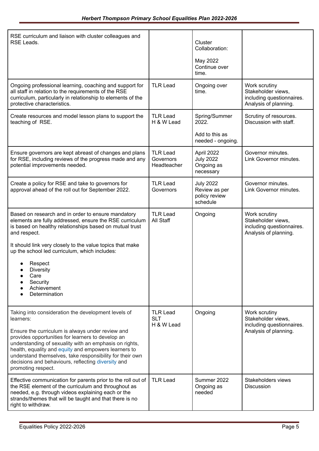| RSE curriculum and liaison with cluster colleagues and<br>RSE Leads.                                                                                                                                                                                                                                                                                                                                                                |                                             | Cluster<br>Collaboration:<br>May 2022<br>Continue over<br>time. |                                                                                           |
|-------------------------------------------------------------------------------------------------------------------------------------------------------------------------------------------------------------------------------------------------------------------------------------------------------------------------------------------------------------------------------------------------------------------------------------|---------------------------------------------|-----------------------------------------------------------------|-------------------------------------------------------------------------------------------|
| Ongoing professional learning, coaching and support for<br>all staff in relation to the requirements of the RSE<br>curriculum, particularly in relationship to elements of the<br>protective characteristics.                                                                                                                                                                                                                       | <b>TLR Lead</b>                             | Ongoing over<br>time.                                           | Work scrutiny<br>Stakeholder views.<br>including questionnaires.<br>Analysis of planning. |
| Create resources and model lesson plans to support the<br>teaching of RSE.                                                                                                                                                                                                                                                                                                                                                          | <b>TLR Lead</b><br>H & W Lead               | Spring/Summer<br>2022.<br>Add to this as<br>needed - ongoing.   | Scrutiny of resources.<br>Discussion with staff.                                          |
| Ensure governors are kept abreast of changes and plans<br>for RSE, including reviews of the progress made and any<br>potential improvements needed.                                                                                                                                                                                                                                                                                 | <b>TLR Lead</b><br>Governors<br>Headteacher | April 2022<br><b>July 2022</b><br>Ongoing as<br>necessary       | Governor minutes.<br>Link Governor minutes.                                               |
| Create a policy for RSE and take to governors for<br>approval ahead of the roll out for September 2022.                                                                                                                                                                                                                                                                                                                             | <b>TLR Lead</b><br>Governors                | <b>July 2022</b><br>Review as per<br>policy review<br>schedule  | Governor minutes.<br>Link Governor minutes.                                               |
| Based on research and in order to ensure mandatory<br>elements are fully addressed, ensure the RSE curriculum<br>is based on healthy relationships based on mutual trust<br>and respect.<br>It should link very closely to the value topics that make<br>up the school led curriculum, which includes:<br>Respect<br><b>Diversity</b><br>Care<br>Security<br>Achievement<br>Determination                                           | <b>TLR Lead</b><br>All Staff                | Ongoing                                                         | Work scrutiny<br>Stakeholder views,<br>including questionnaires.<br>Analysis of planning. |
| Taking into consideration the development levels of<br>learners:<br>Ensure the curriculum is always under review and<br>provides opportunities for learners to develop an<br>understanding of sexuality with an emphasis on rights,<br>health, equality and equity and empowers learners to<br>understand themselves, take responsibility for their own<br>decisions and behaviours, reflecting diversity and<br>promoting respect. | <b>TLR Lead</b><br><b>SLT</b><br>H & W Lead | Ongoing                                                         | Work scrutiny<br>Stakeholder views,<br>including questionnaires.<br>Analysis of planning. |
| Effective communication for parents prior to the roll out of<br>the RSE element of the curriculum and throughout as<br>needed, e.g. through videos explaining each or the<br>strands/themes that will be taught and that there is no<br>right to withdraw.                                                                                                                                                                          | <b>TLR Lead</b>                             | Summer 2022<br>Ongoing as<br>needed                             | Stakeholders views<br>Discussion                                                          |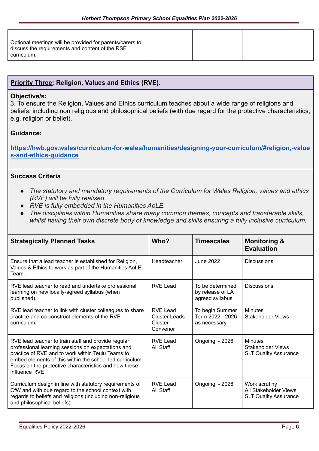| Optional meetings will be provided for parents/carers to<br>discuss the requirements and content of the RSE<br>curriculum. |  |  |
|----------------------------------------------------------------------------------------------------------------------------|--|--|
|----------------------------------------------------------------------------------------------------------------------------|--|--|

### **Priority Three: Religion, Values and Ethics (RVE).**

#### **Objective/s:**

3. To ensure the Religion, Values and Ethics curriculum teaches about a wide range of religions and beliefs, including non religious and philosophical beliefs (with due regard for the protective characteristics, e.g. religion or belief).

#### **Guidance:**

**[https://hwb.gov.wales/curriculum-for-wales/humanities/designing-your-curriculum/#religion,-value](https://hwb.gov.wales/curriculum-for-wales/humanities/designing-your-curriculum/#religion,-values-and-ethics-guidance) [s-and-ethics-guidance](https://hwb.gov.wales/curriculum-for-wales/humanities/designing-your-curriculum/#religion,-values-and-ethics-guidance)**

#### **Success Criteria**

- *● The statutory and mandatory requirements of the Curriculum for Wales Religion, values and ethics (RVE) will be fully realised.*
- *● RVE is fully embedded in the Humanities AoLE.*
- *● The disciplines within Humanities share many common themes, concepts and transferable skills, whilst having their own discrete body of knowledge and skills ensuring a fully inclusive curriculum.*

| <b>Strategically Planned Tasks</b>                                                                                                                                                                                                                                                                    | Who?                                                    | <b>Timescales</b>                                       | <b>Monitoring &amp;</b><br><b>Evaluation</b>                               |
|-------------------------------------------------------------------------------------------------------------------------------------------------------------------------------------------------------------------------------------------------------------------------------------------------------|---------------------------------------------------------|---------------------------------------------------------|----------------------------------------------------------------------------|
| Ensure that a lead teacher is established for Religion,<br>Values & Ethics to work as part of the Humanities AoLE<br>Team.                                                                                                                                                                            | Headteacher                                             | <b>June 2022</b>                                        | <b>Discussions</b>                                                         |
| RVE lead teacher to read and undertake professional<br>learning on new locally-agreed syllabus (when<br>published).                                                                                                                                                                                   | <b>RVE Lead</b>                                         | To be determined<br>by release of LA<br>agreed syllabus | <b>Discussions</b>                                                         |
| RVE lead teacher to link with cluster colleagues to share<br>practice and co-construct elements of the RVE<br>curriculum.                                                                                                                                                                             | RVE Lead<br><b>Cluster Leads</b><br>Cluster<br>Convenor | To begin Summer<br>Term 2022 - 2026<br>as necessary     | <b>Minutes</b><br><b>Stakeholder Views</b>                                 |
| RVE lead teacher to train staff and provide regular<br>professional learning sessions on expectations and<br>practice of RVE and to work within Teulu Teams to<br>embed elements of this within the school led curriculum.<br>Focus on the protective characteristics and how these<br>influence RVE. | RVE Lead<br>All Staff                                   | Ongoing - 2026                                          | <b>Minutes</b><br><b>Stakeholder Views</b><br><b>SLT Quality Assurance</b> |
| Curriculum design in line with statutory requirements of<br>CfW and with due regard to the school context with<br>regards to beliefs and religions (including non-religious<br>and philosophical beliefs).                                                                                            | <b>RVE Lead</b><br>All Staff                            | Ongoing - 2026                                          | Work scrutiny<br>All Stakeholder Views<br><b>SLT Quality Assurance</b>     |